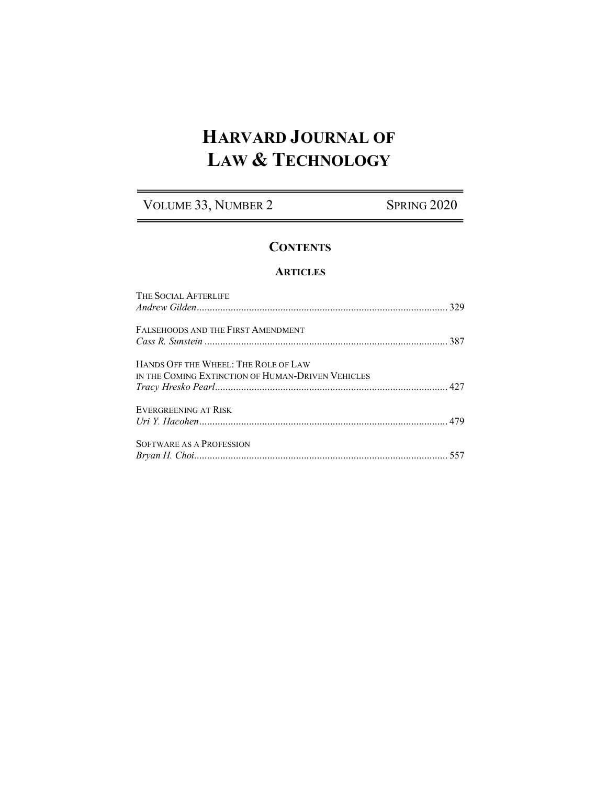# **HARVARD JOURNAL OF LAW & TECHNOLOGY**

VOLUME 33, NUMBER 2 SPRING 2020

# **CONTENTS**

### **ARTICLES**

| THE SOCIAL AFTERLIFE                                                                      |  |
|-------------------------------------------------------------------------------------------|--|
| FALSEHOODS AND THE FIRST AMENDMENT                                                        |  |
| HANDS OFF THE WHEEL: THE ROLE OF LAW<br>IN THE COMING EXTINCTION OF HUMAN-DRIVEN VEHICLES |  |
| <b>EVERGREENING AT RISK</b>                                                               |  |
| SOFTWARE AS A PROFESSION                                                                  |  |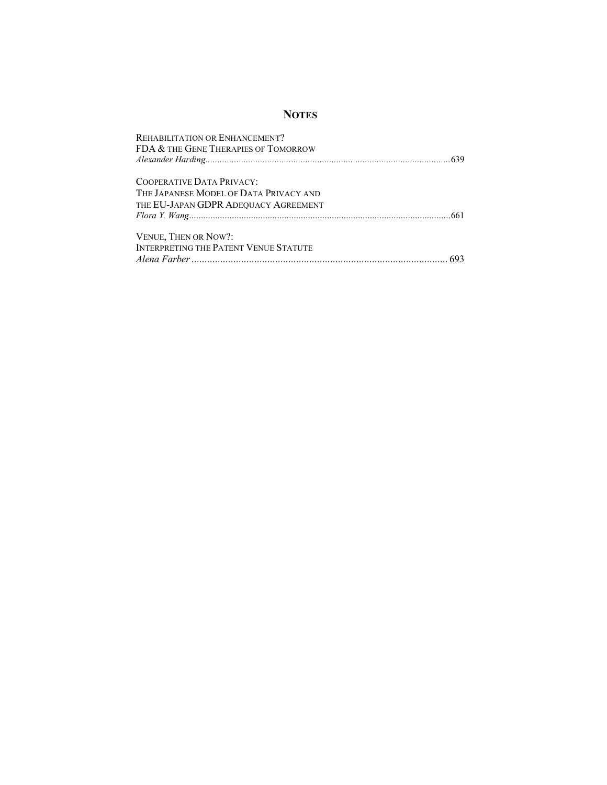## **NOTES**

| REHABILITATION OR ENHANCEMENT?               |  |
|----------------------------------------------|--|
| FDA & THE GENE THERAPIES OF TOMORROW         |  |
|                                              |  |
| COOPERATIVE DATA PRIVACY:                    |  |
| THE JAPANESE MODEL OF DATA PRIVACY AND       |  |
| THE EU-JAPAN GDPR ADEQUACY AGREEMENT         |  |
|                                              |  |
| VENUE, THEN OR NOW?:                         |  |
| <b>INTERPRETING THE PATENT VENUE STATUTE</b> |  |
|                                              |  |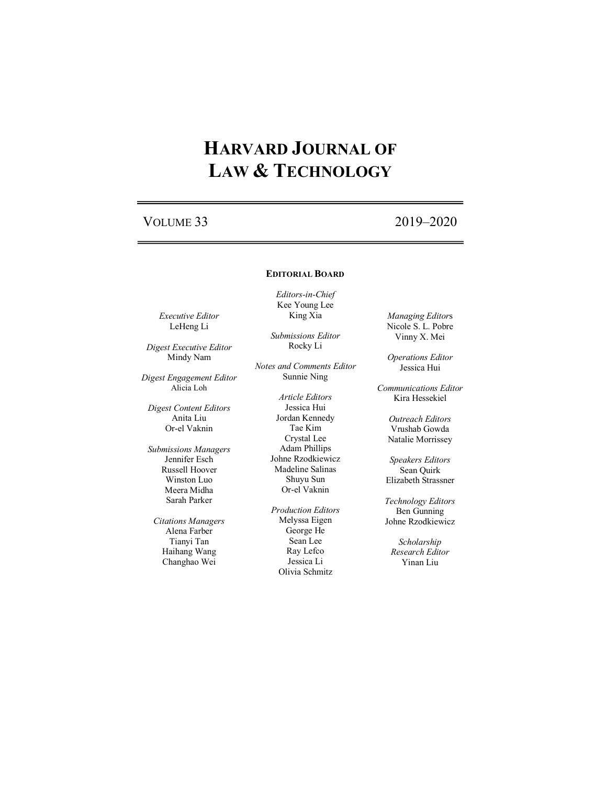# **HARVARD JOURNAL OF LAW & TECHNOLOGY**

# VOLUME 33 2019–2020

### **EDITORIAL BOARD**

*Editors-in-Chief* Kee Young Lee King Xia

*Executive Editor* LeHeng Li

*Digest Executive Editor* Mindy Nam

*Digest Engagement Editor* Alicia Loh

*Digest Content Editors* Anita Liu Or-el Vaknin

*Submissions Managers* Jennifer Esch Russell Hoover Winston Luo Meera Midha Sarah Parker

*Citations Managers* Alena Farber Tianyi Tan Haihang Wang Changhao Wei

*Submissions Editor* Rocky Li

*Notes and Comments Editor* Sunnie Ning

> *Article Editors* Jessica Hui Jordan Kennedy Tae Kim Crystal Lee Adam Phillips Johne Rzodkiewicz Madeline Salinas Shuyu Sun Or-el Vaknin

*Production Editors* Melyssa Eigen George He Sean Lee Ray Lefco Jessica Li Olivia Schmitz

*Managing Editor*s Nicole S. L. Pobre Vinny X. Mei

*Operations Editor* Jessica Hui

*Communications Editor* Kira Hessekiel

> *Outreach Editors* Vrushab Gowda Natalie Morrissey

*Speakers Editors* Sean Quirk Elizabeth Strassner

*Technology Editors* Ben Gunning Johne Rzodkiewicz

*Scholarship Research Editor* Yinan Liu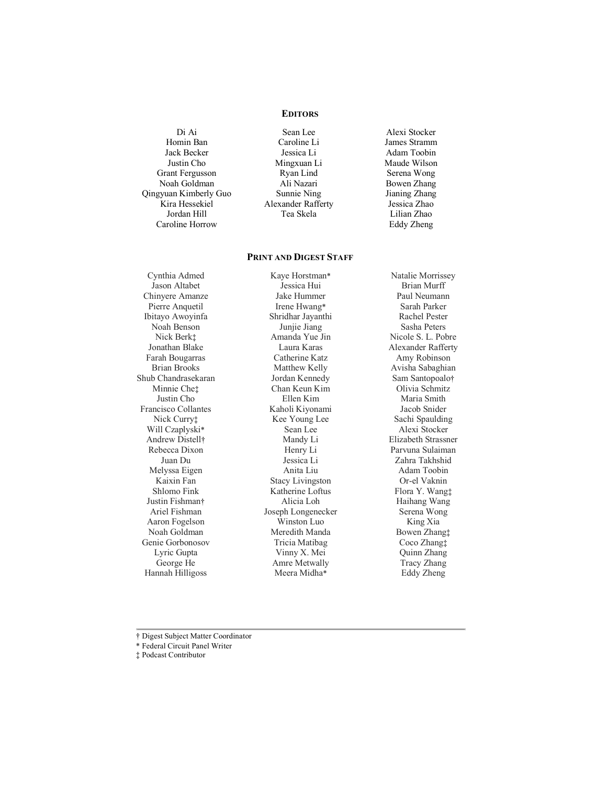### **EDITORS**

Di Ai Homin Ban Jack Becker Justin Cho Grant Fergusson Noah Goldman Qingyuan Kimberly Guo Kira Hessekiel Jordan Hill Caroline Horrow

Sean Lee Caroline Li Jessica Li Mingxuan Li Ryan Lind Ali Nazari Sunnie Ning Alexander Rafferty Tea Skela

Alexi Stocker James Stramm Adam Toobin Maude Wilson Serena Wong Bowen Zhang Jianing Zhang Jessica Zhao Lilian Zhao Eddy Zheng

#### **PRINT AND DIGEST STAFF**

Cynthia Admed Jason Altabet Chinyere Amanze Pierre Anquetil Ibitayo Awoyinfa Noah Benson Nick Berk‡ Jonathan Blake Farah Bougarras Brian Brooks Shub Chandrasekaran Minnie Che‡ Justin Cho Francisco Collantes Nick Curry‡ Will Czaplyski\* Andrew Distell† Rebecca Dixon Juan Du Melyssa Eigen Kaixin Fan Shlomo Fink Justin Fishman† Ariel Fishman Aaron Fogelson Noah Goldman Genie Gorbonosov Lyric Gupta George He Hannah Hilligoss

Kaye Horstman\* Jessica Hui Jake Hummer Irene Hwang\* Shridhar Jayanthi Junjie Jiang Amanda Yue Jin Laura Karas Catherine Katz Matthew Kelly Jordan Kennedy Chan Keun Kim Ellen Kim Kaholi Kiyonami Kee Young Lee Sean Lee Mandy Li Henry Li Jessica Li Anita Liu Stacy Livingston Katherine Loftus Alicia Loh Joseph Longenecker Winston Luo Meredith Manda Tricia Matibag Vinny X. Mei Amre Metwally Meera Midha\*

Natalie Morrissey Brian Murff Paul Neumann Sarah Parker Rachel Pester Sasha Peters Nicole S. L. Pobre Alexander Rafferty Amy Robinson Avisha Sabaghian Sam Santopoalo† Olivia Schmitz Maria Smith Jacob Snider Sachi Spaulding Alexi Stocker Elizabeth Strassner Parvuna Sulaiman Zahra Takhshid Adam Toobin Or-el Vaknin Flora Y. Wang‡ Haihang Wang Serena Wong King Xia Bowen Zhang‡ Coco Zhang‡ Quinn Zhang Tracy Zhang Eddy Zheng

† Digest Subject Matter Coordinator

\* Federal Circuit Panel Writer

‡ Podcast Contributor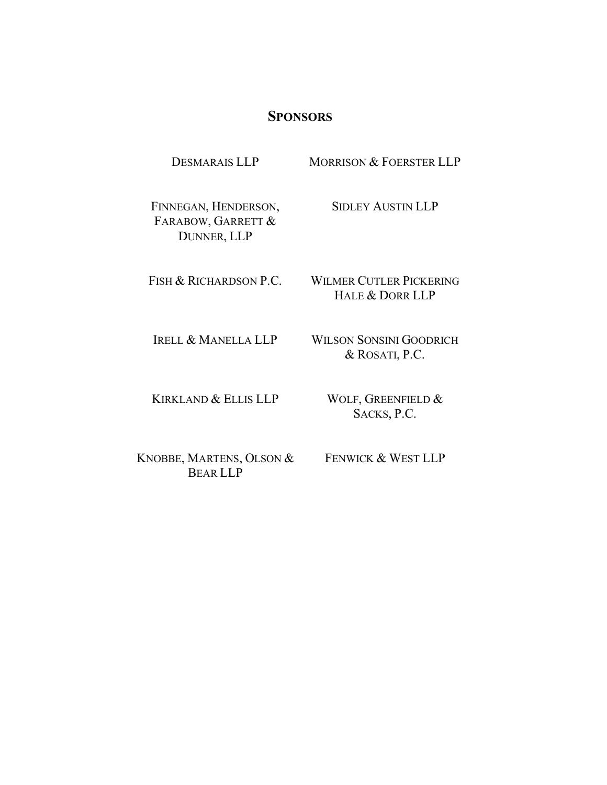## **SPONSORS**

FINNEGAN, HENDERSON, FARABOW, GARRETT & DUNNER, LLP

SIDLEY AUSTIN LLP

FISH & RICHARDSON P.C.

WILMER CUTLER PICKERING HALE & DORR LLP

IRELL & MANELLA LLP

WILSON SONSINI GOODRICH & ROSATI, P.C.

KIRKLAND & ELLIS LLP

WOLF, GREENFIELD & SACKS, P.C.

KNOBBE, MARTENS, OLSON & BEAR LLP

FENWICK & WEST LLP